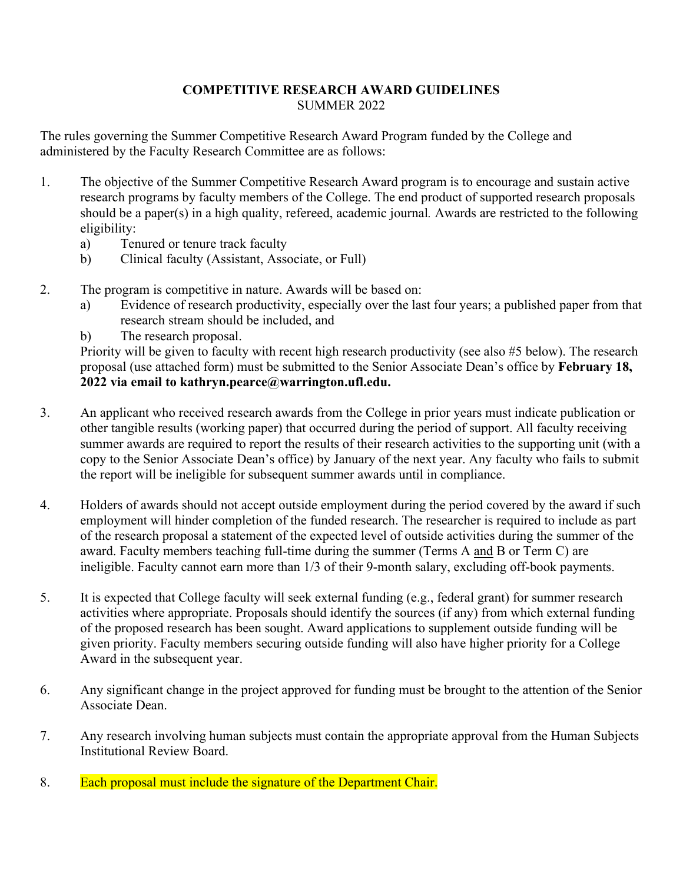## **COMPETITIVE RESEARCH AWARD GUIDELINES** SUMMER 2022

The rules governing the Summer Competitive Research Award Program funded by the College and administered by the Faculty Research Committee are as follows:

- 1. The objective of the Summer Competitive Research Award program is to encourage and sustain active research programs by faculty members of the College. The end product of supported research proposals should be a paper(s) in a high quality, refereed, academic journal*.* Awards are restricted to the following eligibility:
	- a) Tenured or tenure track faculty
	- b) Clinical faculty (Assistant, Associate, or Full)
- 2. The program is competitive in nature. Awards will be based on:
	- a) Evidence of research productivity, especially over the last four years; a published paper from that research stream should be included, and
	- b) The research proposal.

Priority will be given to faculty with recent high research productivity (see also #5 below). The research proposal (use attached form) must be submitted to the Senior Associate Dean's office by **February 18, 2022 via email to kathryn.pearce@warrington.ufl.edu.**

- 3. An applicant who received research awards from the College in prior years must indicate publication or other tangible results (working paper) that occurred during the period of support. All faculty receiving summer awards are required to report the results of their research activities to the supporting unit (with a copy to the Senior Associate Dean's office) by January of the next year. Any faculty who fails to submit the report will be ineligible for subsequent summer awards until in compliance.
- 4. Holders of awards should not accept outside employment during the period covered by the award if such employment will hinder completion of the funded research. The researcher is required to include as part of the research proposal a statement of the expected level of outside activities during the summer of the award. Faculty members teaching full-time during the summer (Terms A and B or Term C) are ineligible. Faculty cannot earn more than 1/3 of their 9-month salary, excluding off-book payments.
- 5. It is expected that College faculty will seek external funding (e.g., federal grant) for summer research activities where appropriate. Proposals should identify the sources (if any) from which external funding of the proposed research has been sought. Award applications to supplement outside funding will be given priority. Faculty members securing outside funding will also have higher priority for a College Award in the subsequent year.
- 6. Any significant change in the project approved for funding must be brought to the attention of the Senior Associate Dean.
- 7. Any research involving human subjects must contain the appropriate approval from the Human Subjects Institutional Review Board.
- 8. Each proposal must include the signature of the Department Chair.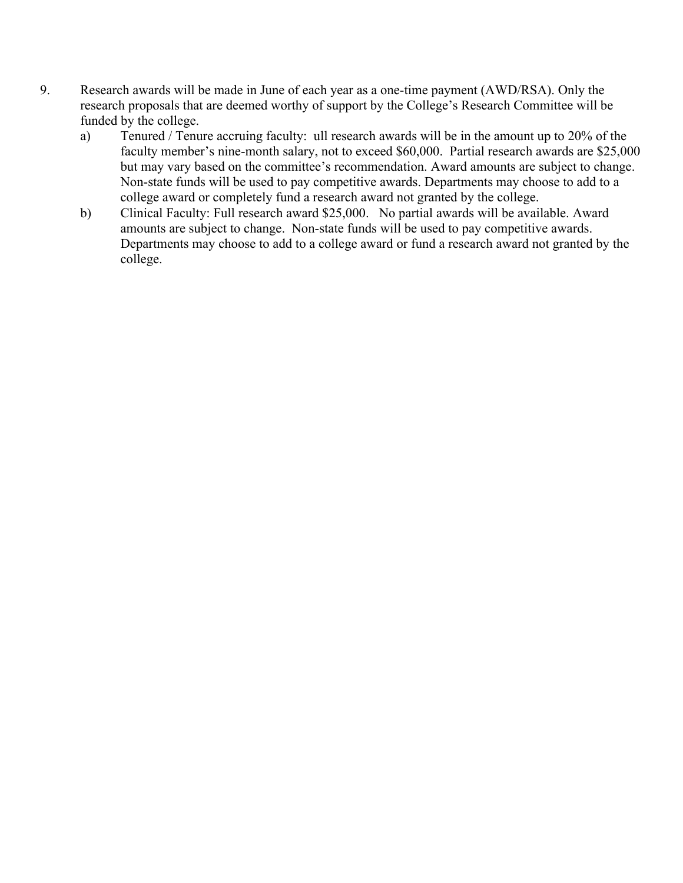- 9. Research awards will be made in June of each year as a one-time payment (AWD/RSA). Only the research proposals that are deemed worthy of support by the College's Research Committee will be funded by the college.
	- a) Tenured / Tenure accruing faculty: ull research awards will be in the amount up to 20% of the faculty member's nine-month salary, not to exceed \$60,000. Partial research awards are \$25,000 but may vary based on the committee's recommendation. Award amounts are subject to change. Non-state funds will be used to pay competitive awards. Departments may choose to add to a college award or completely fund a research award not granted by the college.
	- b) Clinical Faculty: Full research award \$25,000. No partial awards will be available. Award amounts are subject to change. Non-state funds will be used to pay competitive awards. Departments may choose to add to a college award or fund a research award not granted by the college.